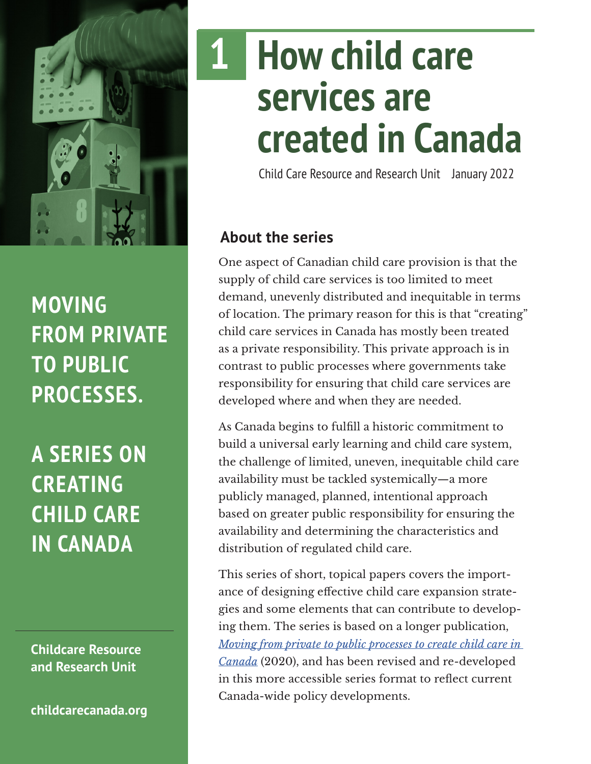

# **MOVING FROM PRIVATE TO PUBLIC PROCESSES.**

**A SERIES ON CREATING CHILD CARE IN CANADA**

**Childcare Resource and Research Unit**

**[childcarecanada.org](http://childcarecanada.org)**

# **How child care services are created in Canada 1**

Child Care Resource and Research Unit January 2022

# **About the series**

One aspect of Canadian child care provision is that the supply of child care services is too limited to meet demand, unevenly distributed and inequitable in terms of location. The primary reason for this is that "creating" child care services in Canada has mostly been treated as a private responsibility. This private approach is in contrast to public processes where governments take responsibility for ensuring that child care services are developed where and when they are needed.

As Canada begins to fulfill a historic commitment to build a universal early learning and child care system, the challenge of limited, uneven, inequitable child care availability must be tackled systemically—a more publicly managed, planned, intentional approach based on greater public responsibility for ensuring the availability and determining the characteristics and distribution of regulated child care.

This series of short, topical papers covers the importance of designing effective child care expansion strategies and some elements that can contribute to developing them. The series is based on a longer publication, *[Moving from private to public processes to create child care in](https://childcarecanada.org/publications/other-publications/20/12/moving-private-public-processes-create-child-care-canada)  [Canada](https://childcarecanada.org/publications/other-publications/20/12/moving-private-public-processes-create-child-care-canada)* (2020), and has been revised and re-developed in this more accessible series format to reflect current Canada-wide policy developments.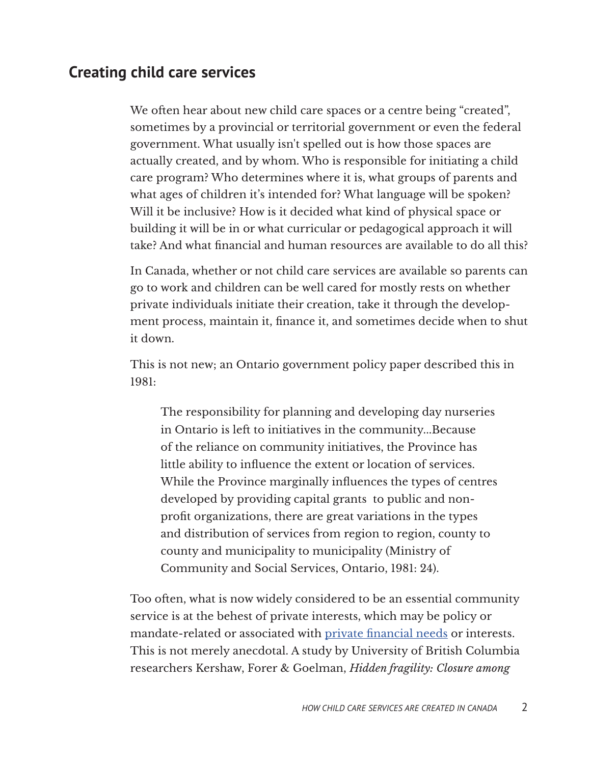# **Creating child care services**

We often hear about new child care spaces or a centre being "created", sometimes by a provincial or territorial government or even the federal government. What usually isn't spelled out is how those spaces are actually created, and by whom. Who is responsible for initiating a child care program? Who determines where it is, what groups of parents and what ages of children it's intended for? What language will be spoken? Will it be inclusive? How is it decided what kind of physical space or building it will be in or what curricular or pedagogical approach it will take? And what financial and human resources are available to do all this?

In Canada, whether or not child care services are available so parents can go to work and children can be well cared for mostly rests on whether private individuals initiate their creation, take it through the development process, maintain it, finance it, and sometimes decide when to shut it down.

This is not new; an Ontario government policy paper described this in 1981:

The responsibility for planning and developing day nurseries in Ontario is left to initiatives in the community...Because of the reliance on community initiatives, the Province has little ability to influence the extent or location of services. While the Province marginally influences the types of centres developed by providing capital grants to public and nonprofit organizations, there are great variations in the types and distribution of services from region to region, county to county and municipality to municipality (Ministry of Community and Social Services, Ontario, 1981: 24).

Too often, what is now widely considered to be an essential community service is at the behest of private interests, which may be policy or mandate-related or associated with [private financial needs](https://globalnews.ca/news/5802189/willowbrae-academy-north-york-daycare-bankruptcy/) or interests. This is not merely anecdotal. A study by University of British Columbia researchers Kershaw, Forer & Goelman, *Hidden fragility: Closure among*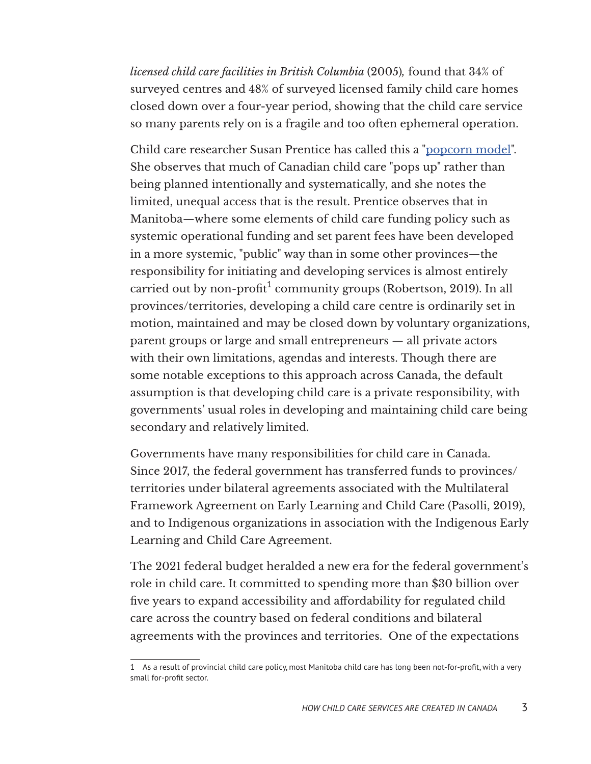*licensed child care facilities in British Columbia* (2005)*,* found that 34% of surveyed centres and 48% of surveyed licensed family child care homes closed down over a four-year period, showing that the child care service so many parents rely on is a fragile and too often ephemeral operation.

Child care researcher Susan Prentice has called this a ["popcorn model"](https://www.winnipegfreepress.com/special/provincial-election/daycare-dilemma-559781502.html). She observes that much of Canadian child care "pops up" rather than being planned intentionally and systematically, and she notes the limited, unequal access that is the result. Prentice observes that in Manitoba—where some elements of child care funding policy such as systemic operational funding and set parent fees have been developed in a more systemic, "public" way than in some other provinces—the responsibility for initiating and developing services is almost entirely carried out by non-profit $^1$  community groups (Robertson, 2019). In all provinces/territories, developing a child care centre is ordinarily set in motion, maintained and may be closed down by voluntary organizations, parent groups or large and small entrepreneurs — all private actors with their own limitations, agendas and interests. Though there are some notable exceptions to this approach across Canada, the default assumption is that developing child care is a private responsibility, with governments' usual roles in developing and maintaining child care being secondary and relatively limited.

Governments have many responsibilities for child care in Canada. Since 2017, the federal government has transferred funds to provinces/ territories under bilateral agreements associated with the Multilateral Framework Agreement on Early Learning and Child Care (Pasolli, 2019), and to Indigenous organizations in association with the Indigenous Early Learning and Child Care Agreement.

The 2021 federal budget heralded a new era for the federal government's role in child care. It committed to spending more than \$30 billion over five years to expand accessibility and affordability for regulated child care across the country based on federal conditions and bilateral agreements with the provinces and territories. One of the expectations

<sup>1</sup> As a result of provincial child care policy, most Manitoba child care has long been not-for-profit, with a very small for-profit sector.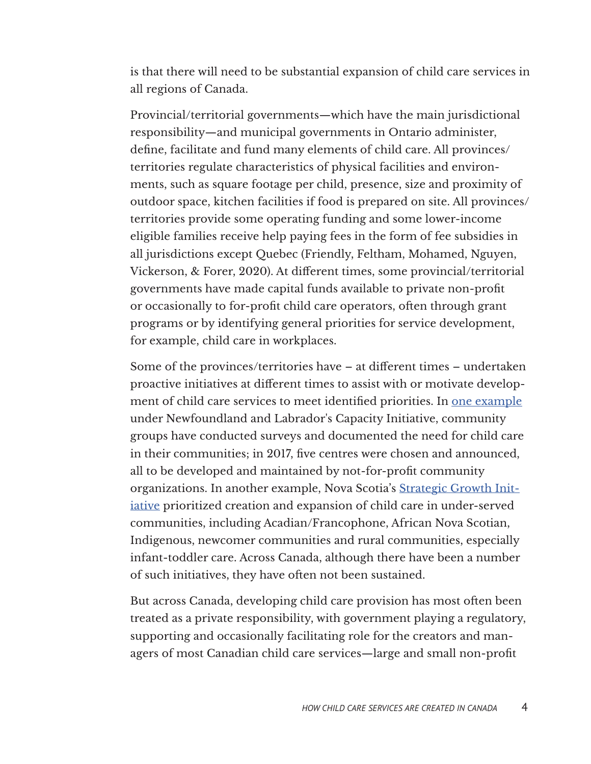is that there will need to be substantial expansion of child care services in all regions of Canada.

Provincial/territorial governments—which have the main jurisdictional responsibility—and municipal governments in Ontario administer, define, facilitate and fund many elements of child care. All provinces/ territories regulate characteristics of physical facilities and environments, such as square footage per child, presence, size and proximity of outdoor space, kitchen facilities if food is prepared on site. All provinces/ territories provide some operating funding and some lower-income eligible families receive help paying fees in the form of fee subsidies in all jurisdictions except Quebec (Friendly, Feltham, Mohamed, Nguyen, Vickerson, & Forer, 2020). At different times, some provincial/territorial governments have made capital funds available to private non-profit or occasionally to for-profit child care operators, often through grant programs or by identifying general priorities for service development, for example, child care in workplaces.

Some of the provinces/territories have – at different times – undertaken proactive initiatives at different times to assist with or motivate development of child care services to meet identified priorities. In [one example](https://www.saltwire.com/news/local/new-harbour-area-receiving-funding-for-potential-childcare-centre-23063/?location=avalon-eastern-newfoundland) under Newfoundland and Labrador's Capacity Initiative, community groups have conducted surveys and documented the need for child care in their communities; in 2017, five centres were chosen and announced, all to be developed and maintained by not-for-profit community organizations. In another example, Nova Scotia's [Strategic Growth Init](https://novascotia.ca/news/release/?id=20190305001)[iative](https://novascotia.ca/news/release/?id=20190305001) prioritized creation and expansion of child care in under-served communities, including Acadian/Francophone, African Nova Scotian, Indigenous, newcomer communities and rural communities, especially infant-toddler care. Across Canada, although there have been a number of such initiatives, they have often not been sustained.

But across Canada, developing child care provision has most often been treated as a private responsibility, with government playing a regulatory, supporting and occasionally facilitating role for the creators and managers of most Canadian child care services—large and small non-profit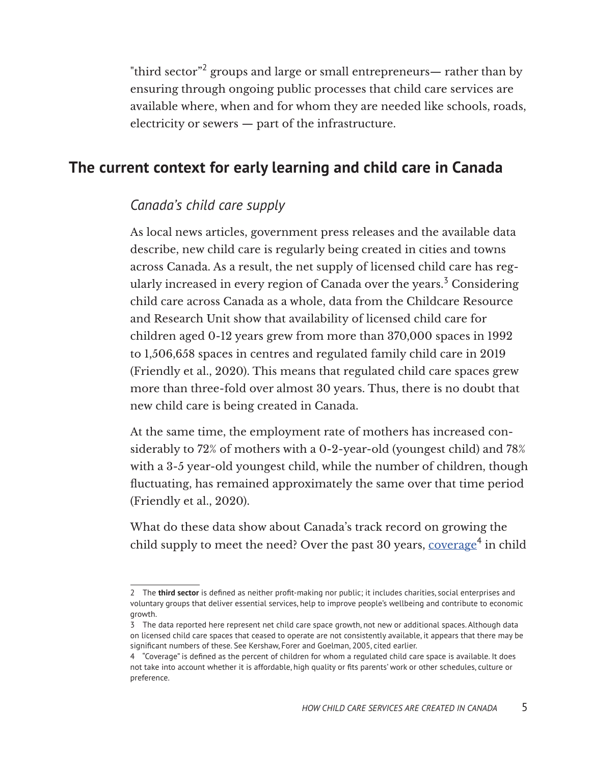"third sector" $^2$  groups and large or small entrepreneurs— rather than by ensuring through ongoing public processes that child care services are available where, when and for whom they are needed like schools, roads, electricity or sewers — part of the infrastructure.

# **The current context for early learning and child care in Canada**

#### *Canada's child care supply*

As local news articles, government press releases and the available data describe, new child care is regularly being created in cities and towns across Canada. As a result, the net supply of licensed child care has regularly increased in every region of Canada over the years.<sup>3</sup> Considering child care across Canada as a whole, data from the Childcare Resource and Research Unit show that availability of licensed child care for children aged 0-12 years grew from more than 370,000 spaces in 1992 to 1,506,658 spaces in centres and regulated family child care in 2019 (Friendly et al., 2020). This means that regulated child care spaces grew more than three-fold over almost 30 years. Thus, there is no doubt that new child care is being created in Canada.

At the same time, the employment rate of mothers has increased considerably to 72% of mothers with a 0-2-year-old (youngest child) and 78% with a 3-5 year-old youngest child, while the number of children, though fluctuating, has remained approximately the same over that time period (Friendly et al., 2020).

What do these data show about Canada's track record on growing the child supply to meet the need? Over the past 30 years, <u>[coverage](https://childcarecanada.org/sites/default/files/ECEC2016-Comparative-Tables.pdf)<sup>4</sup> in child</u>

<sup>2</sup> The **third sector** is defined as neither profit-making nor public; it includes charities, social enterprises and voluntary groups that deliver essential services, help to improve people's wellbeing and contribute to economic growth.

<sup>3</sup> The data reported here represent net child care space growth, not new or additional spaces. Although data on licensed child care spaces that ceased to operate are not consistently available, it appears that there may be significant numbers of these. See Kershaw, Forer and Goelman, 2005, cited earlier.

<sup>4 &</sup>quot;Coverage" is defined as the percent of children for whom a regulated child care space is available. It does not take into account whether it is affordable, high quality or fits parents' work or other schedules, culture or preference.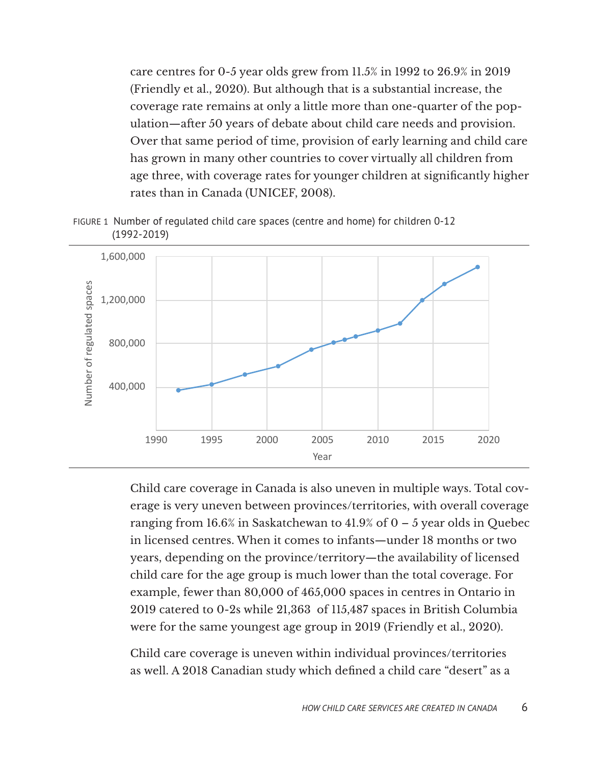care centres for 0-5 year olds grew from 11.5% in 1992 to 26.9% in 2019 (Friendly et al., 2020). But although that is a substantial increase, the coverage rate remains at only a little more than one-quarter of the population—after 50 years of debate about child care needs and provision. Over that same period of time, provision of early learning and child care has grown in many other countries to cover virtually all children from age three, with coverage rates for younger children at significantly higher rates than in Canada (UNICEF, 2008).

FIGURE 1 Number of regulated child care spaces (centre and home) for children 0-12 (1992-2019)



Child care coverage in Canada is also uneven in multiple ways. Total coverage is very uneven between provinces/territories, with overall coverage ranging from 16.6% in Saskatchewan to 41.9% of  $0 - 5$  year olds in Quebec in licensed centres. When it comes to infants—under 18 months or two years, depending on the province/territory—the availability of licensed child care for the age group is much lower than the total coverage. For example, fewer than 80,000 of 465,000 spaces in centres in Ontario in 2019 catered to 0-2s while 21,363 of 115,487 spaces in British Columbia were for the same youngest age group in 2019 (Friendly et al., 2020).

Child care coverage is uneven within individual provinces/territories as well. A 2018 Canadian study which defined a child care "desert" as a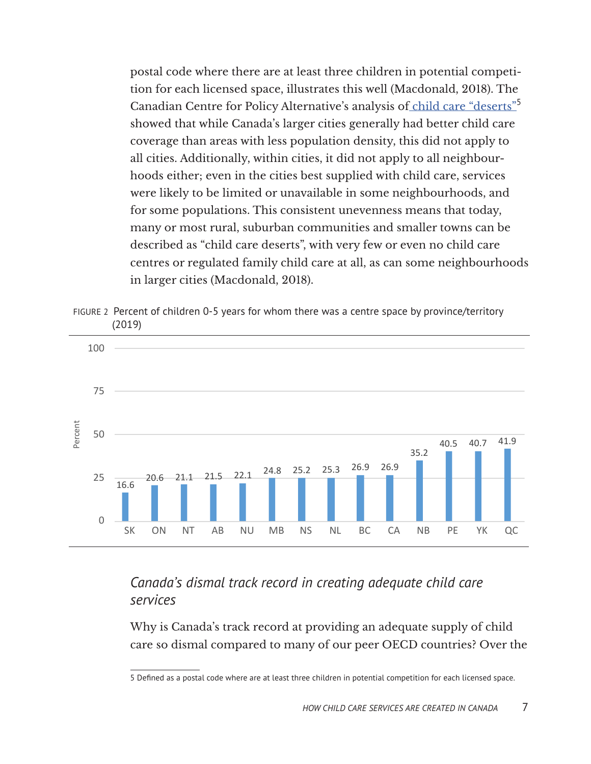postal code where there are at least three children in potential competition for each licensed space, illustrates this well (Macdonald, 2018). The Canadian Centre for Policy Alternative's analysis of [child care "deserts](https://www.policyalternatives.ca/publications/reports/child-care-deserts-canada)"<sup>5</sup> showed that while Canada's larger cities generally had better child care coverage than areas with less population density, this did not apply to all cities. Additionally, within cities, it did not apply to all neighbourhoods either; even in the cities best supplied with child care, services were likely to be limited or unavailable in some neighbourhoods, and for some populations. This consistent unevenness means that today, many or most rural, suburban communities and smaller towns can be described as "child care deserts", with very few or even no child care centres or regulated family child care at all, as can some neighbourhoods in larger cities (Macdonald, 2018).

FIGURE 2 Percent of children 0-5 years for whom there was a centre space by province/territory (2019)



# *Canada's dismal track record in creating adequate child care services*

Why is Canada's track record at providing an adequate supply of child care so dismal compared to many of our peer OECD countries? Over the

<sup>5</sup> Defined as a postal code where are at least three children in potential competition for each licensed space.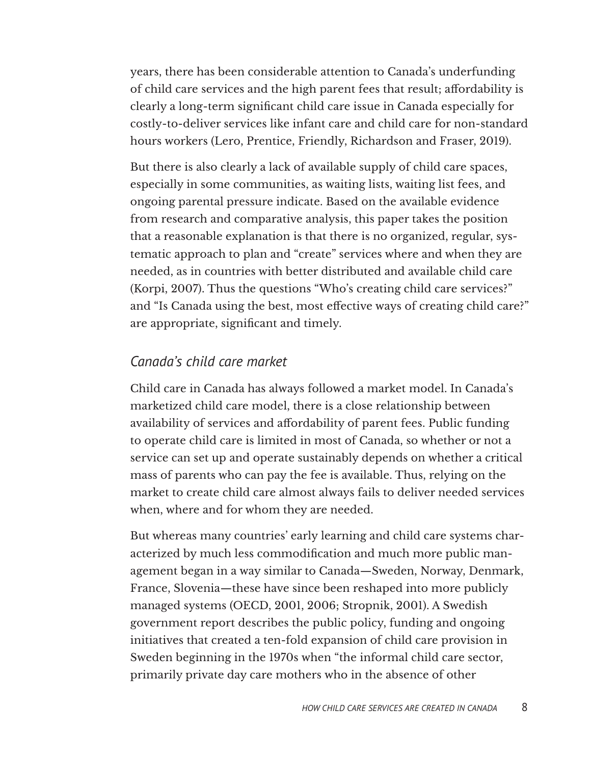years, there has been considerable attention to Canada's underfunding of child care services and the high parent fees that result; affordability is clearly a long-term significant child care issue in Canada especially for costly-to-deliver services like infant care and child care for non-standard hours workers (Lero, Prentice, Friendly, Richardson and Fraser, 2019).

But there is also clearly a lack of available supply of child care spaces, especially in some communities, as waiting lists, waiting list fees, and ongoing parental pressure indicate. Based on the available evidence from research and comparative analysis, this paper takes the position that a reasonable explanation is that there is no organized, regular, systematic approach to plan and "create" services where and when they are needed, as in countries with better distributed and available child care (Korpi, 2007). Thus the questions "Who's creating child care services?" and "Is Canada using the best, most effective ways of creating child care?" are appropriate, significant and timely.

#### *Canada's child care market*

Child care in Canada has always followed a market model. In Canada's marketized child care model, there is a close relationship between availability of services and affordability of parent fees. Public funding to operate child care is limited in most of Canada, so whether or not a service can set up and operate sustainably depends on whether a critical mass of parents who can pay the fee is available. Thus, relying on the market to create child care almost always fails to deliver needed services when, where and for whom they are needed.

But whereas many countries' early learning and child care systems characterized by much less commodification and much more public management began in a way similar to Canada—Sweden, Norway, Denmark, France, Slovenia—these have since been reshaped into more publicly managed systems (OECD, 2001, 2006; Stropnik, 2001). A Swedish government report describes the public policy, funding and ongoing initiatives that created a ten-fold expansion of child care provision in Sweden beginning in the 1970s when "the informal child care sector, primarily private day care mothers who in the absence of other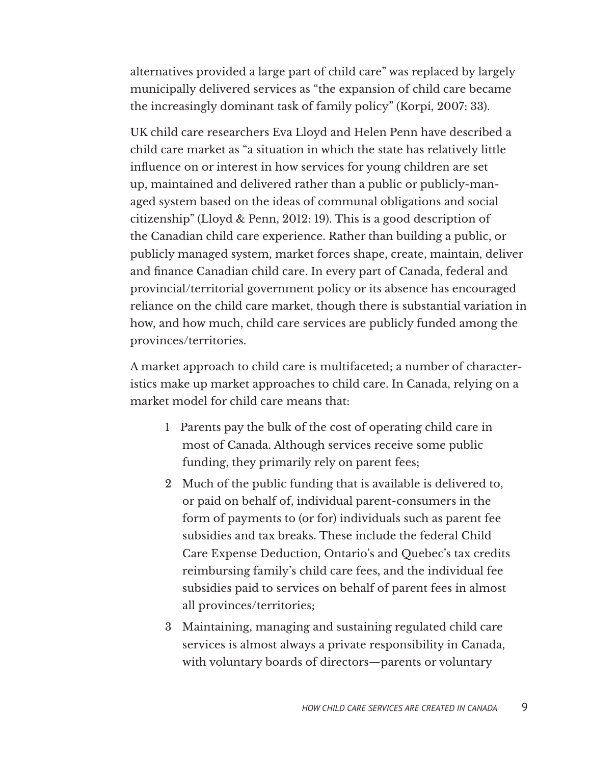alternatives provided a large part of child care" was replaced by largely municipally delivered services as "the expansion of child care became the increasingly dominant task of family policy" (Korpi, 2007: 33).

UK child care researchers Eva Lloyd and Helen Penn have described a child care market as "a situation in which the state has relatively little influence on or interest in how services for young children are set up, maintained and delivered rather than a public or publicly-managed system based on the ideas of communal obligations and social citizenship" (Lloyd & Penn, 2012: 19). This is a good description of the Canadian child care experience. Rather than building a public, or publicly managed system, market forces shape, create, maintain, deliver and finance Canadian child care. In every part of Canada, federal and provincial/territorial government policy or its absence has encouraged reliance on the child care market, though there is substantial variation in how, and how much, child care services are publicly funded among the provinces/territories.

A market approach to child care is multifaceted; a number of characteristics make up market approaches to child care. In Canada, relying on a market model for child care means that:

- 1 Parents pay the bulk of the cost of operating child care in most of Canada. Although services receive some public funding, they primarily rely on parent fees;
- 2 Much of the public funding that is available is delivered to, or paid on behalf of, individual parent-consumers in the form of payments to (or for) individuals such as parent fee subsidies and tax breaks. These include the federal Child Care Expense Deduction, Ontario's and Quebec's tax credits reimbursing family's child care fees, and the individual fee subsidies paid to services on behalf of parent fees in almost all provinces/territories;
- 3 Maintaining, managing and sustaining regulated child care services is almost always a private responsibility in Canada, with voluntary boards of directors—parents or voluntary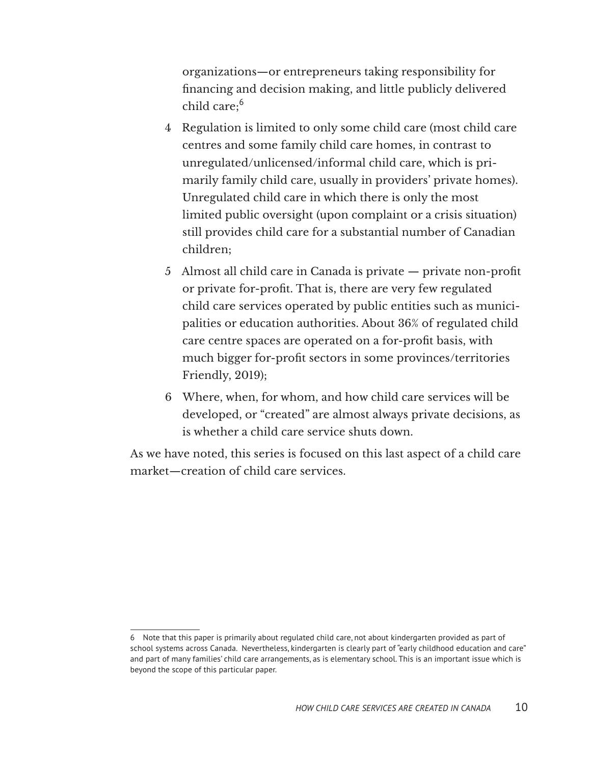organizations—or entrepreneurs taking responsibility for financing and decision making, and little publicly delivered child care; $^6$ 

- 4 Regulation is limited to only some child care (most child care centres and some family child care homes, in contrast to unregulated/unlicensed/informal child care, which is primarily family child care, usually in providers' private homes). Unregulated child care in which there is only the most limited public oversight (upon complaint or a crisis situation) still provides child care for a substantial number of Canadian children;
- 5 Almost all child care in Canada is private private non-profit or private for-profit. That is, there are very few regulated child care services operated by public entities such as municipalities or education authorities. About 36% of regulated child care centre spaces are operated on a for-profit basis, with much bigger for-profit sectors in some provinces/territories Friendly, 2019);
- 6 Where, when, for whom, and how child care services will be developed, or "created" are almost always private decisions, as is whether a child care service shuts down.

As we have noted, this series is focused on this last aspect of a child care market—creation of child care services.

<sup>6</sup> Note that this paper is primarily about regulated child care, not about kindergarten provided as part of school systems across Canada. Nevertheless, kindergarten is clearly part of "early childhood education and care" and part of many families' child care arrangements, as is elementary school. This is an important issue which is beyond the scope of this particular paper.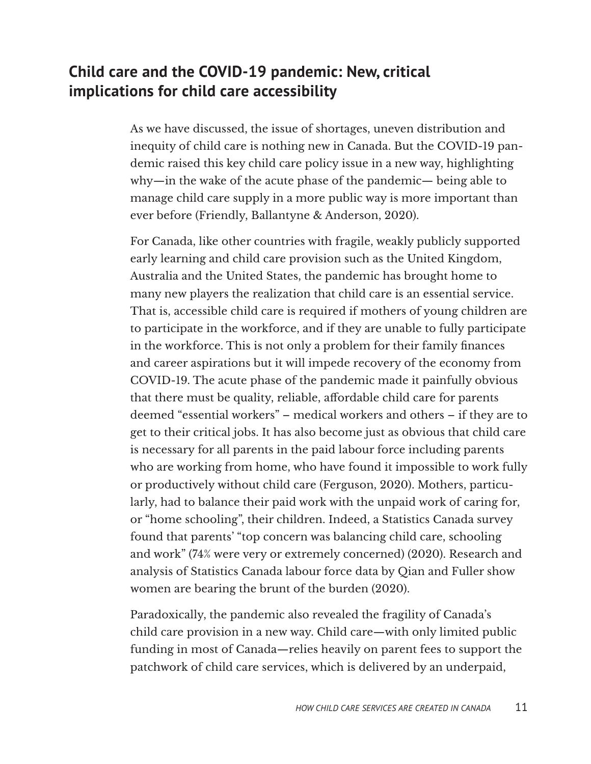# **Child care and the COVID-19 pandemic: New, critical implications for child care accessibility**

As we have discussed, the issue of shortages, uneven distribution and inequity of child care is nothing new in Canada. But the COVID-19 pandemic raised this key child care policy issue in a new way, highlighting why—in the wake of the acute phase of the pandemic— being able to manage child care supply in a more public way is more important than ever before (Friendly, Ballantyne & Anderson, 2020).

For Canada, like other countries with fragile, weakly publicly supported early learning and child care provision such as the United Kingdom, Australia and the United States, the pandemic has brought home to many new players the realization that child care is an essential service. That is, accessible child care is required if mothers of young children are to participate in the workforce, and if they are unable to fully participate in the workforce. This is not only a problem for their family finances and career aspirations but it will impede recovery of the economy from COVID-19. The acute phase of the pandemic made it painfully obvious that there must be quality, reliable, affordable child care for parents deemed "essential workers" – medical workers and others – if they are to get to their critical jobs. It has also become just as obvious that child care is necessary for all parents in the paid labour force including parents who are working from home, who have found it impossible to work fully or productively without child care (Ferguson, 2020). Mothers, particularly, had to balance their paid work with the unpaid work of caring for, or "home schooling", their children. Indeed, a Statistics Canada survey found that parents' "top concern was balancing child care, schooling and work" (74% were very or extremely concerned) (2020). Research and analysis of Statistics Canada labour force data by Qian and Fuller show women are bearing the brunt of the burden (2020).

Paradoxically, the pandemic also revealed the fragility of Canada's child care provision in a new way. Child care—with only limited public funding in most of Canada—relies heavily on parent fees to support the patchwork of child care services, which is delivered by an underpaid,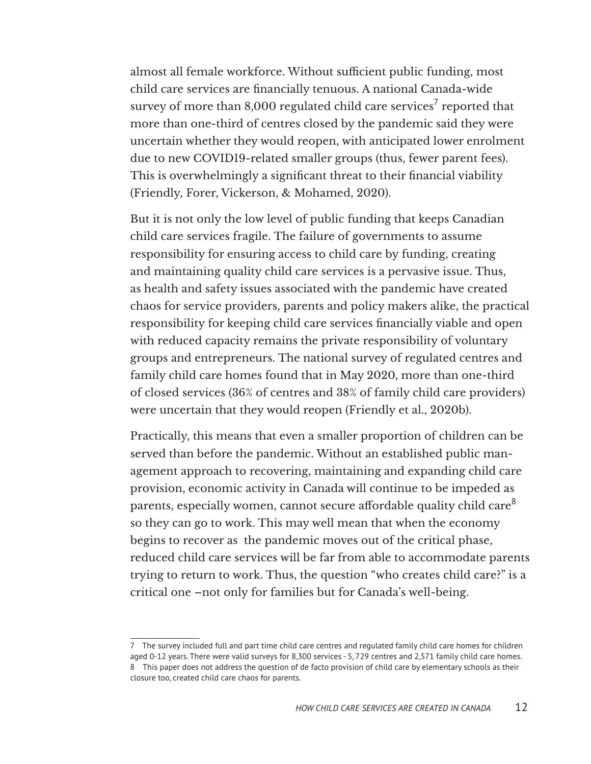almost all female workforce. Without sufficient public funding, most child care services are financially tenuous. A national Canada-wide survey of more than 8,000 regulated child care services $^7$  reported that more than one-third of centres closed by the pandemic said they were uncertain whether they would reopen, with anticipated lower enrolment due to new COVID19-related smaller groups (thus, fewer parent fees). This is overwhelmingly a significant threat to their financial viability (Friendly, Forer, Vickerson, & Mohamed, 2020).

But it is not only the low level of public funding that keeps Canadian child care services fragile. The failure of governments to assume responsibility for ensuring access to child care by funding, creating and maintaining quality child care services is a pervasive issue. Thus, as health and safety issues associated with the pandemic have created chaos for service providers, parents and policy makers alike, the practical responsibility for keeping child care services financially viable and open with reduced capacity remains the private responsibility of voluntary groups and entrepreneurs. The national survey of regulated centres and family child care homes found that in May 2020, more than one-third of closed services (36% of centres and 38% of family child care providers) were uncertain that they would reopen (Friendly et al., 2020b).

Practically, this means that even a smaller proportion of children can be served than before the pandemic. Without an established public management approach to recovering, maintaining and expanding child care provision, economic activity in Canada will continue to be impeded as parents, especially women, cannot secure affordable quality child care<sup>8</sup> so they can go to work. This may well mean that when the economy begins to recover as the pandemic moves out of the critical phase, reduced child care services will be far from able to accommodate parents trying to return to work. Thus, the question "who creates child care?" is a critical one –not only for families but for Canada's well-being.

<sup>7</sup> The survey included full and part time child care centres and regulated family child care homes for children aged 0-12 years. There were valid surveys for 8,300 services - 5, 729 centres and 2,571 family child care homes. 8 This paper does not address the question of de facto provision of child care by elementary schools as their closure too, created child care chaos for parents.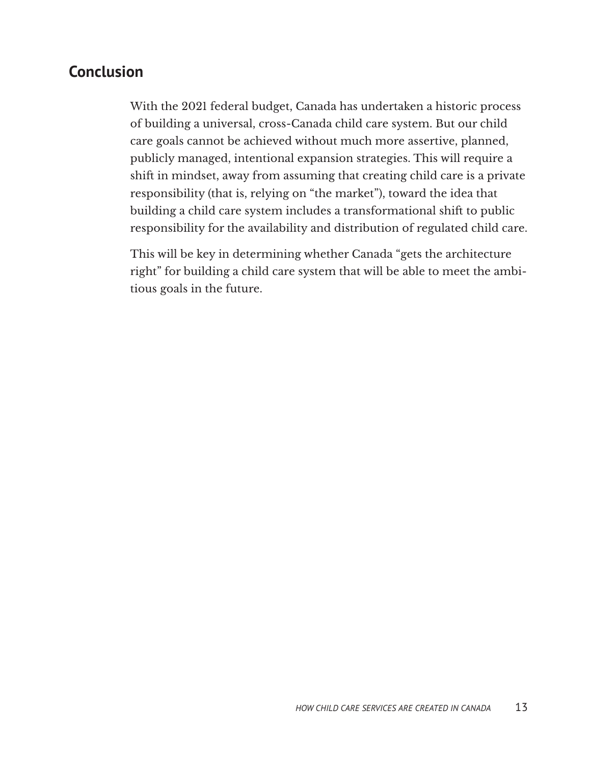# **Conclusion**

With the 2021 federal budget, Canada has undertaken a historic process of building a universal, cross-Canada child care system. But our child care goals cannot be achieved without much more assertive, planned, publicly managed, intentional expansion strategies. This will require a shift in mindset, away from assuming that creating child care is a private responsibility (that is, relying on "the market"), toward the idea that building a child care system includes a transformational shift to public responsibility for the availability and distribution of regulated child care.

This will be key in determining whether Canada "gets the architecture right" for building a child care system that will be able to meet the ambitious goals in the future.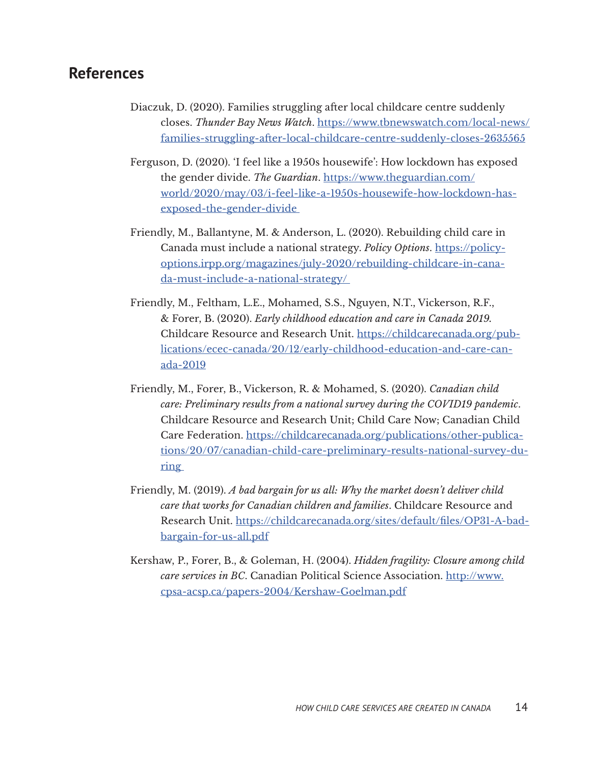#### **References**

- Diaczuk, D. (2020). Families struggling after local childcare centre suddenly closes. *Thunder Bay News Watch*. [https://www.tbnewswatch.com/local-news/](https://www.tbnewswatch.com/local-news/families-struggling-after-local-childcare-centre-suddenly-closes-2635565) [families-struggling-after-local-childcare-centre-suddenly-closes-2635565](https://www.tbnewswatch.com/local-news/families-struggling-after-local-childcare-centre-suddenly-closes-2635565)
- Ferguson, D. (2020). 'I feel like a 1950s housewife': How lockdown has exposed the gender divide. *The Guardian*. [https://www.theguardian.com/](https://www.theguardian.com/world/2020/may/03/i-feel-like-a-1950s-housewife-how-lockdown-has-exposed-the-gender-divide) [world/2020/may/03/i-feel-like-a-1950s-housewife-how-lockdown-has](https://www.theguardian.com/world/2020/may/03/i-feel-like-a-1950s-housewife-how-lockdown-has-exposed-the-gender-divide)[exposed-the-gender-divide](https://www.theguardian.com/world/2020/may/03/i-feel-like-a-1950s-housewife-how-lockdown-has-exposed-the-gender-divide)
- Friendly, M., Ballantyne, M. & Anderson, L. (2020). Rebuilding child care in Canada must include a national strategy. *Policy Options*. [https://policy](https://policyoptions.irpp.org/magazines/july-2020/rebuilding-childcare-in-canada-must-include-a-nat)[options.irpp.org/magazines/july-2020/rebuilding-childcare-in-cana](https://policyoptions.irpp.org/magazines/july-2020/rebuilding-childcare-in-canada-must-include-a-nat)[da-must-include-a-national-strategy/](https://policyoptions.irpp.org/magazines/july-2020/rebuilding-childcare-in-canada-must-include-a-nat)
- Friendly, M., Feltham, L.E., Mohamed, S.S., Nguyen, N.T., Vickerson, R.F., & Forer, B. (2020). *Early childhood education and care in Canada 2019.* Childcare Resource and Research Unit. [https://childcarecanada.org/pub](https://childcarecanada.org/publications/ecec-canada/20/12/early-childhood-education-and-care-canada-2019)[lications/ecec-canada/20/12/early-childhood-education-and-care-can](https://childcarecanada.org/publications/ecec-canada/20/12/early-childhood-education-and-care-canada-2019)[ada-2019](https://childcarecanada.org/publications/ecec-canada/20/12/early-childhood-education-and-care-canada-2019)
- Friendly, M., Forer, B., Vickerson, R. & Mohamed, S. (2020). *Canadian child care: Preliminary results from a national survey during the COVID19 pandemic*. Childcare Resource and Research Unit; Child Care Now; Canadian Child Care Federation. [https://childcarecanada.org/publications/other-publica](https://childcarecanada.org/publications/other-publications/20/07/canadian-child-care-preliminary-results-national-survey-during)[tions/20/07/canadian-child-care-preliminary-results-national-survey-du](https://childcarecanada.org/publications/other-publications/20/07/canadian-child-care-preliminary-results-national-survey-during)[ring](https://childcarecanada.org/publications/other-publications/20/07/canadian-child-care-preliminary-results-national-survey-during)
- Friendly, M. (2019). *A bad bargain for us all: Why the market doesn't deliver child care that works for Canadian children and families*. Childcare Resource and Research Unit. [https://childcarecanada.org/sites/default/files/OP31-A-bad](https://childcarecanada.org/sites/default/files/OP31-A-bad-bargain-for-us-all.pdf)[bargain-for-us-all.pdf](https://childcarecanada.org/sites/default/files/OP31-A-bad-bargain-for-us-all.pdf)
- Kershaw, P., Forer, B., & Goleman, H. (2004). *Hidden fragility: Closure among child care services in BC*. Canadian Political Science Association. [http://www.](http://www.cpsa-acsp.ca/papers-2004/Kershaw-Goelman.pdf ) [cpsa-acsp.ca/papers-2004/Kershaw-Goelman.pdf](http://www.cpsa-acsp.ca/papers-2004/Kershaw-Goelman.pdf )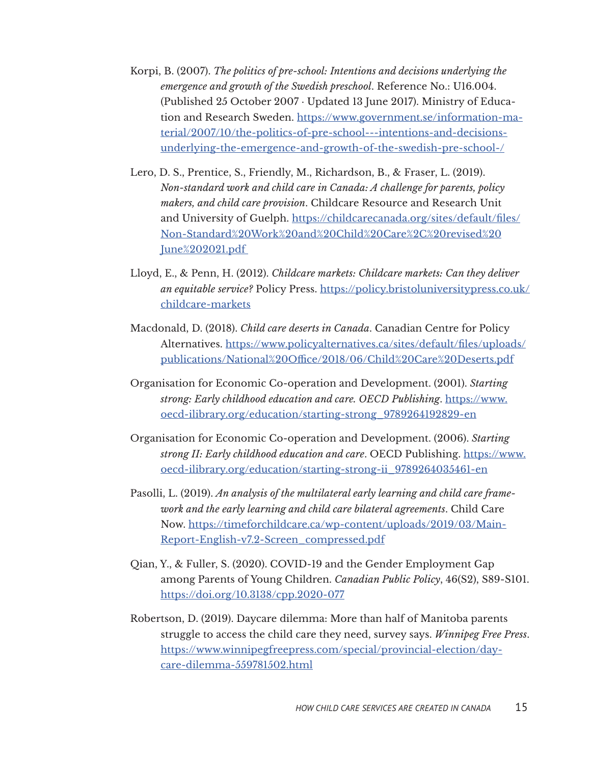- Korpi, B. (2007). *The politics of pre-school: Intentions and decisions underlying the emergence and growth of the Swedish preschool*. Reference No.: U16.004. (Published 25 October 2007 · Updated 13 June 2017). Ministry of Education and Research Sweden. [https://www.government.se/information-ma](https://www.government.se/information-material/2007/10/the-politics-of-pre-school---intentions-and-decisions-underlying-the-emergence-and-growth-of-the-swedish-pre-school-/)[terial/2007/10/the-politics-of-pre-school---intentions-and-decisions](https://www.government.se/information-material/2007/10/the-politics-of-pre-school---intentions-and-decisions-underlying-the-emergence-and-growth-of-the-swedish-pre-school-/)[underlying-the-emergence-and-growth-of-the-swedish-pre-school-/](https://www.government.se/information-material/2007/10/the-politics-of-pre-school---intentions-and-decisions-underlying-the-emergence-and-growth-of-the-swedish-pre-school-/)
- Lero, D. S., Prentice, S., Friendly, M., Richardson, B., & Fraser, L. (2019). *Non-standard work and child care in Canada: A challenge for parents, policy makers, and child care provision*. Childcare Resource and Research Unit and University of Guelph. [https://childcarecanada.org/sites/default/files/](https://childcarecanada.org/sites/default/files/Non-Standard%20Work%20and%20Child%20Care%2C%20revised%20June%202021.pdf) [Non-Standard%20Work%20and%20Child%20Care%2C%20revised%20](https://childcarecanada.org/sites/default/files/Non-Standard%20Work%20and%20Child%20Care%2C%20revised%20June%202021.pdf) [June%202021.pdf](https://childcarecanada.org/sites/default/files/Non-Standard%20Work%20and%20Child%20Care%2C%20revised%20June%202021.pdf)
- Lloyd, E., & Penn, H. (2012). *Childcare markets: Childcare markets: Can they deliver an equitable service?* Policy Press. [https://policy.bristoluniversitypress.co.uk/](https://policy.bristoluniversitypress.co.uk/childcare-markets) [childcare-markets](https://policy.bristoluniversitypress.co.uk/childcare-markets)
- Macdonald, D. (2018). *Child care deserts in Canada*. Canadian Centre for Policy Alternatives. [https://www.policyalternatives.ca/sites/default/files/uploads/](https://www.policyalternatives.ca/sites/default/files/uploads/publications/National%20Office/2018/06/Child%20Care%20Deserts.pdf) [publications/National%20Office/2018/06/Child%20Care%20Deserts.pdf](https://www.policyalternatives.ca/sites/default/files/uploads/publications/National%20Office/2018/06/Child%20Care%20Deserts.pdf)
- Organisation for Economic Co-operation and Development. (2001). *Starting strong: Early childhood education and care. OECD Publishing*. [https://www.](https://www.oecd-ilibrary.org/education/starting-strong_9789264192829-en) [oecd-ilibrary.org/education/starting-strong\\_9789264192829-en](https://www.oecd-ilibrary.org/education/starting-strong_9789264192829-en)
- Organisation for Economic Co-operation and Development. (2006). *Starting strong II: Early childhood education and care*. OECD Publishing. [https://www.](https://www.oecd-ilibrary.org/education/starting-strong-ii_9789264035461-en) [oecd-ilibrary.org/education/starting-strong-ii\\_9789264035461-en](https://www.oecd-ilibrary.org/education/starting-strong-ii_9789264035461-en)
- Pasolli, L. (2019). *An analysis of the multilateral early learning and child care framework and the early learning and child care bilateral agreements*. Child Care Now. [https://timeforchildcare.ca/wp-content/uploads/2019/03/Main-](https://timeforchildcare.ca/wp-content/uploads/2019/03/Main-Report-English-v7.2-Screen_compressed.pdf)[Report-English-v7.2-Screen\\_compressed.pdf](https://timeforchildcare.ca/wp-content/uploads/2019/03/Main-Report-English-v7.2-Screen_compressed.pdf)
- Qian, Y., & Fuller, S. (2020). COVID-19 and the Gender Employment Gap among Parents of Young Children. *Canadian Public Policy*, 46(S2), S89-S101. <https://doi.org/10.3138/cpp.2020-077>
- Robertson, D. (2019). Daycare dilemma: More than half of Manitoba parents struggle to access the child care they need, survey says. *Winnipeg Free Press*. [https://www.winnipegfreepress.com/special/provincial-election/day](https://www.winnipegfreepress.com/special/provincial-election/daycare-dilemma-559781502.html)[care-dilemma-559781502.html](https://www.winnipegfreepress.com/special/provincial-election/daycare-dilemma-559781502.html)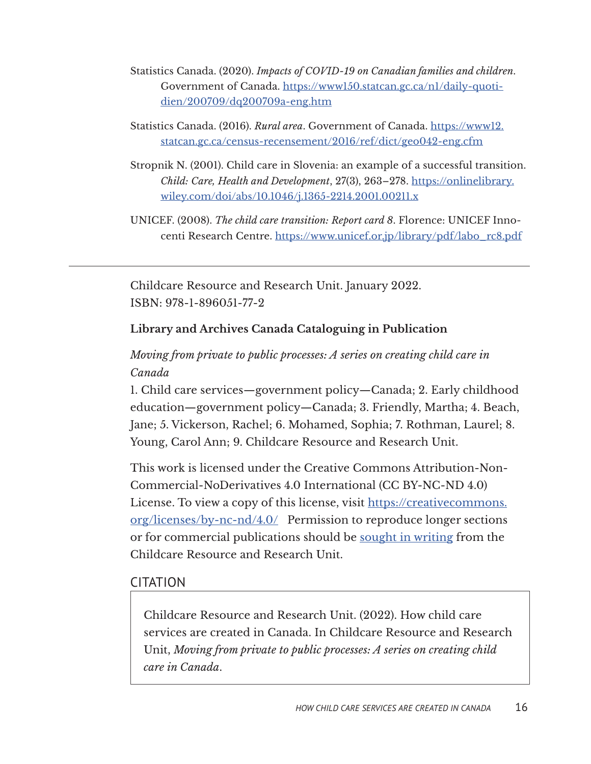- Statistics Canada. (2020). *Impacts of COVID-19 on Canadian families and children*. Government of Canada. [https://www150.statcan.gc.ca/n1/daily-quoti](https://www150.statcan.gc.ca/n1/daily-quotidien/200709/dq200709a-eng.htm)[dien/200709/dq200709a-eng.htm](https://www150.statcan.gc.ca/n1/daily-quotidien/200709/dq200709a-eng.htm)
- Statistics Canada. (2016). *Rural area*. Government of [Canada. https://www12.](https://www12.statcan.gc.ca/census-recensement/2016/ref/dict/geo042-eng.cfm) [statcan.gc.ca/census-recensement/2016/ref/dict/geo042-eng.cfm](https://www12.statcan.gc.ca/census-recensement/2016/ref/dict/geo042-eng.cfm)
- Stropnik N. (2001). Child care in Slovenia: an example of a successful transition. *Child: Care, Health and Development*, 27(3), 263–278. https://onlinelibrary. wiley.com/doi/abs/10.1046/j.1365-2214.2001.00211.x
- UNICEF. (2008). *The child care transition: Report card 8*. Florence: UNICEF Innocenti Research Centre. [https://www.unicef.or.jp/library/pdf/labo\\_rc8.pdf](https://www.unicef.or.jp/library/pdf/labo_rc8.pdf)

Childcare Resource and Research Unit. January 2022. ISBN: 978-1-896051-77-2

#### **Library and Archives Canada Cataloguing in Publication**

### *Moving from private to public processes: A series on creating child care in Canada*

1. Child care services—government policy—Canada; 2. Early childhood education—government policy—Canada; 3. Friendly, Martha; 4. Beach, Jane; 5. Vickerson, Rachel; 6. Mohamed, Sophia; 7. Rothman, Laurel; 8. Young, Carol Ann; 9. Childcare Resource and Research Unit.

This work is licensed under the Creative Commons Attribution-Non-Commercial-NoDerivatives 4.0 International (CC BY-NC-ND 4.0) License. To view a copy of this license, visit [https://creativecommons.](https://creativecommons.org/licenses/by-nc-nd/4.0/) [org/licenses/by-nc-nd/4.0/](https://creativecommons.org/licenses/by-nc-nd/4.0/) Permission to reproduce longer sections or for commercial publications should be [sought in writing](https://childcarecanada.org/contact) from the Childcare Resource and Research Unit.

#### CITATION

Childcare Resource and Research Unit. (2022). How child care services are created in Canada. In Childcare Resource and Research Unit, *Moving from private to public processes: A series on creating child care in Canada*.